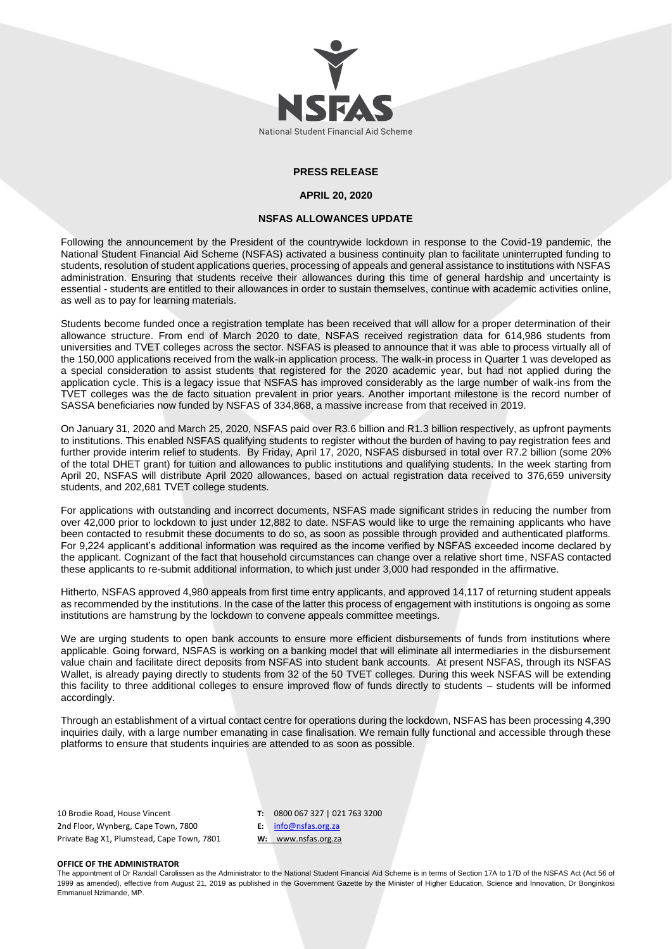

## **PRESS RELEASE**

#### **APRIL 20, 2020**

### **NSFAS ALLOWANCES UPDATE**

Following the announcement by the President of the countrywide lockdown in response to the Covid-19 pandemic, the National Student Financial Aid Scheme (NSFAS) activated a business continuity plan to facilitate uninterrupted funding to students, resolution of student applications queries, processing of appeals and general assistance to institutions with NSFAS administration. Ensuring that students receive their allowances during this time of general hardship and uncertainty is essential - students are entitled to their allowances in order to sustain themselves, continue with academic activities online, as well as to pay for learning materials.

Students become funded once a registration template has been received that will allow for a proper determination of their allowance structure. From end of March 2020 to date, NSFAS received registration data for 614,986 students from universities and TVET colleges across the sector. NSFAS is pleased to announce that it was able to process virtually all of the 150,000 applications received from the walk-in application process. The walk-in process in Quarter 1 was developed as a special consideration to assist students that registered for the 2020 academic year, but had not applied during the application cycle. This is a legacy issue that NSFAS has improved considerably as the large number of walk-ins from the TVET colleges was the de facto situation prevalent in prior years. Another important milestone is the record number of SASSA beneficiaries now funded by NSFAS of 334,868, a massive increase from that received in 2019.

On January 31, 2020 and March 25, 2020, NSFAS paid over R3.6 billion and R1.3 billion respectively, as upfront payments to institutions. This enabled NSFAS qualifying students to register without the burden of having to pay registration fees and further provide interim relief to students. By Friday, April 17, 2020, NSFAS disbursed in total over R7.2 billion (some 20% of the total DHET grant) for tuition and allowances to public institutions and qualifying students. In the week starting from April 20, NSFAS will distribute April 2020 allowances, based on actual registration data received to 376,659 university students, and 202,681 TVET college students.

For applications with outstanding and incorrect documents, NSFAS made significant strides in reducing the number from over 42,000 prior to lockdown to just under 12,882 to date. NSFAS would like to urge the remaining applicants who have been contacted to resubmit these documents to do so, as soon as possible through provided and authenticated platforms. For 9,224 applicant's additional information was required as the income verified by NSFAS exceeded income declared by the applicant. Cognizant of the fact that household circumstances can change over a relative short time, NSFAS contacted these applicants to re-submit additional information, to which just under 3,000 had responded in the affirmative.

Hitherto, NSFAS approved 4,980 appeals from first time entry applicants, and approved 14,117 of returning student appeals as recommended by the institutions. In the case of the latter this process of engagement with institutions is ongoing as some institutions are hamstrung by the lockdown to convene appeals committee meetings.

We are urging students to open bank accounts to ensure more efficient disbursements of funds from institutions where applicable. Going forward, NSFAS is working on a banking model that will eliminate all intermediaries in the disbursement value chain and facilitate direct deposits from NSFAS into student bank accounts. At present NSFAS, through its NSFAS Wallet, is already paying directly to students from 32 of the 50 TVET colleges. During this week NSFAS will be extending this facility to three additional colleges to ensure improved flow of funds directly to students – students will be informed accordingly.

Through an establishment of a virtual contact centre for operations during the lockdown, NSFAS has been processing 4,390 inquiries daily, with a large number emanating in case finalisation. We remain fully functional and accessible through these platforms to ensure that students inquiries are attended to as soon as possible.

10 Brodie Road, House Vincent 2nd Floor, Wynberg, Cape Town, 7800 Private Bag X1, Plumstead, Cape Town, 7801 **T:** 0800 067 327 | 021 763 3200 **E:** [info@nsfas.org.za](mailto:info@nsfas.org.za) **W:** www.nsfas.org.za

### **OFFICE OF THE ADMINISTRATOR**

The appointment of Dr Randall Carolissen as the Administrator to the National Student Financial Aid Scheme is in terms of Section 17A to 17D of the NSFAS Act (Act 56 of 1999 as amended), effective from August 21, 2019 as published in the Government Gazette by the Minister of Higher Education, Science and Innovation, Dr Bonginkosi Emmanuel Nzimande, MP.